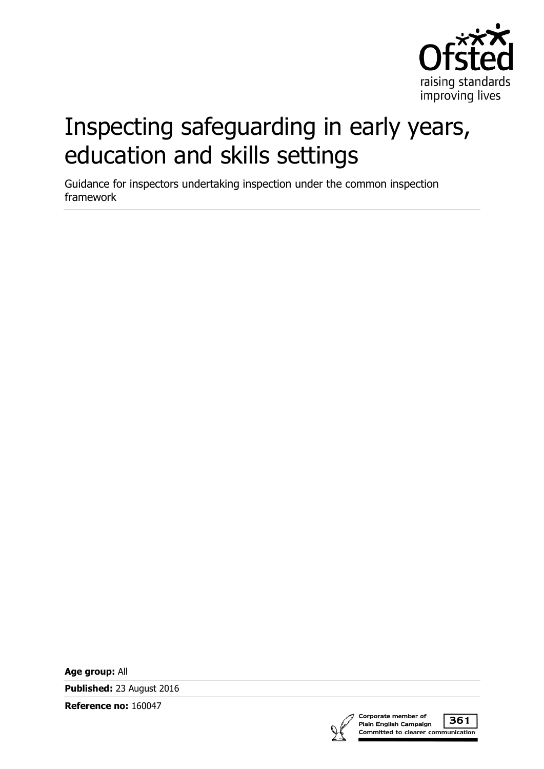

# Inspecting safeguarding in early years, education and skills settings

Guidance for inspectors undertaking inspection under the common inspection framework

**Age group:** All

**Published:** 23 August 2016

**Reference no:** 160047



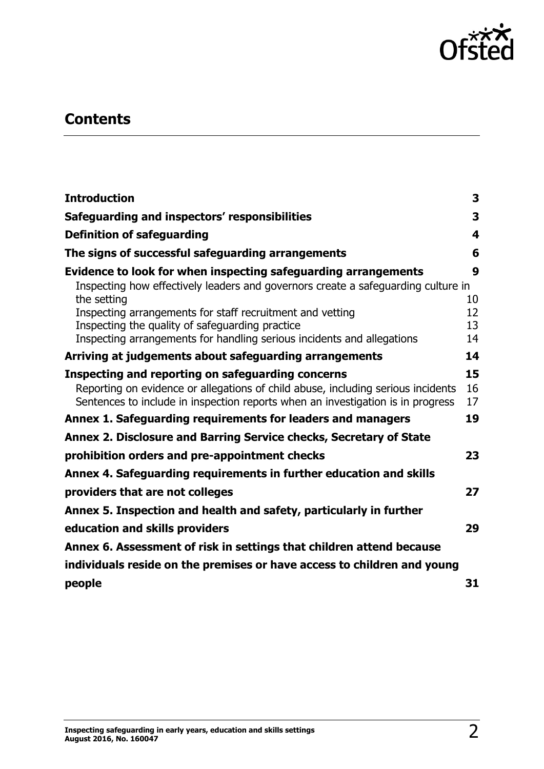

# **Contents**

| <b>Introduction</b>                                                                                                                                                                                                      | 3              |
|--------------------------------------------------------------------------------------------------------------------------------------------------------------------------------------------------------------------------|----------------|
| Safeguarding and inspectors' responsibilities                                                                                                                                                                            | 3              |
| <b>Definition of safeguarding</b>                                                                                                                                                                                        | 4              |
| The signs of successful safeguarding arrangements                                                                                                                                                                        | 6              |
| Evidence to look for when inspecting safeguarding arrangements<br>Inspecting how effectively leaders and governors create a safeguarding culture in<br>the setting                                                       | 9<br>10        |
| Inspecting arrangements for staff recruitment and vetting<br>Inspecting the quality of safeguarding practice<br>Inspecting arrangements for handling serious incidents and allegations                                   | 12<br>13<br>14 |
| Arriving at judgements about safeguarding arrangements                                                                                                                                                                   | 14             |
| Inspecting and reporting on safeguarding concerns<br>Reporting on evidence or allegations of child abuse, including serious incidents<br>Sentences to include in inspection reports when an investigation is in progress | 15<br>16<br>17 |
| Annex 1. Safeguarding requirements for leaders and managers                                                                                                                                                              | 19             |
| Annex 2. Disclosure and Barring Service checks, Secretary of State                                                                                                                                                       |                |
| prohibition orders and pre-appointment checks                                                                                                                                                                            | 23             |
| Annex 4. Safeguarding requirements in further education and skills                                                                                                                                                       |                |
| providers that are not colleges                                                                                                                                                                                          | 27             |
| Annex 5. Inspection and health and safety, particularly in further                                                                                                                                                       |                |
| education and skills providers                                                                                                                                                                                           | 29             |
| Annex 6. Assessment of risk in settings that children attend because                                                                                                                                                     |                |
| individuals reside on the premises or have access to children and young                                                                                                                                                  |                |
| people                                                                                                                                                                                                                   | 31             |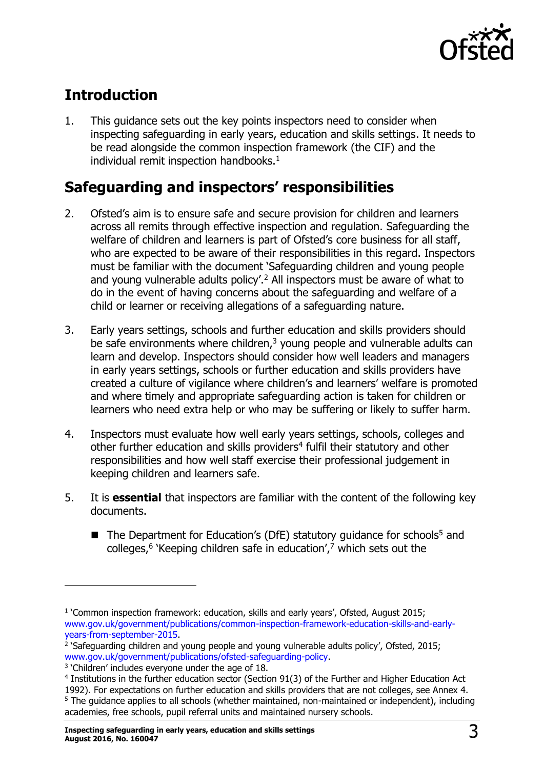

# <span id="page-2-0"></span>**Introduction**

1. This guidance sets out the key points inspectors need to consider when inspecting safeguarding in early years, education and skills settings. It needs to be read alongside the common inspection framework (the CIF) and the individual remit inspection handbooks. $<sup>1</sup>$ </sup>

# <span id="page-2-1"></span>**Safeguarding and inspectors' responsibilities**

- 2. Ofsted's aim is to ensure safe and secure provision for children and learners across all remits through effective inspection and regulation. Safeguarding the welfare of children and learners is part of Ofsted's core business for all staff, who are expected to be aware of their responsibilities in this regard. Inspectors must be familiar with the document 'Safeguarding children and young people and young vulnerable adults policy'.<sup>2</sup> All inspectors must be aware of what to do in the event of having concerns about the safeguarding and welfare of a child or learner or receiving allegations of a safeguarding nature.
- 3. Early years settings, schools and further education and skills providers should be safe environments where children, $3$  young people and vulnerable adults can learn and develop. Inspectors should consider how well leaders and managers in early years settings, schools or further education and skills providers have created a culture of vigilance where children's and learners' welfare is promoted and where timely and appropriate safeguarding action is taken for children or learners who need extra help or who may be suffering or likely to suffer harm.
- 4. Inspectors must evaluate how well early years settings, schools, colleges and other further education and skills providers<sup>4</sup> fulfil their statutory and other responsibilities and how well staff exercise their professional judgement in keeping children and learners safe.
- 5. It is **essential** that inspectors are familiar with the content of the following key documents.
	- The Department for Education's (DfE) statutory quidance for schools<sup>5</sup> and colleges,<sup>6</sup> 'Keeping children safe in education',<sup>7</sup> which sets out the

 $\overline{a}$ 

<sup>&</sup>lt;sup>1</sup> 'Common inspection framework: education, skills and early years', Ofsted, August 2015; [www.gov.uk/government/publications/common-inspection-framework-education-skills-and-early](http://www.gov.uk/government/publications/common-inspection-framework-education-skills-and-early-years-from-september-2015)[years-from-september-2015.](http://www.gov.uk/government/publications/common-inspection-framework-education-skills-and-early-years-from-september-2015)

<sup>&</sup>lt;sup>2</sup> `Safeguarding children and young people and young vulnerable adults policy', Ofsted, 2015; [www.gov.uk/government/publications/ofsted-safeguarding-policy.](https://www.gov.uk/government/publications/ofsted-safeguarding-policy)

<sup>&</sup>lt;sup>3</sup> 'Children' includes everyone under the age of 18.

<sup>4</sup> Institutions in the further education sector (Section 91(3) of the Further and Higher Education Act 1992). For expectations on further education and skills providers that are not colleges, see Annex 4. <sup>5</sup> The guidance applies to all schools (whether maintained, non-maintained or independent), including academies, free schools, pupil referral units and maintained nursery schools.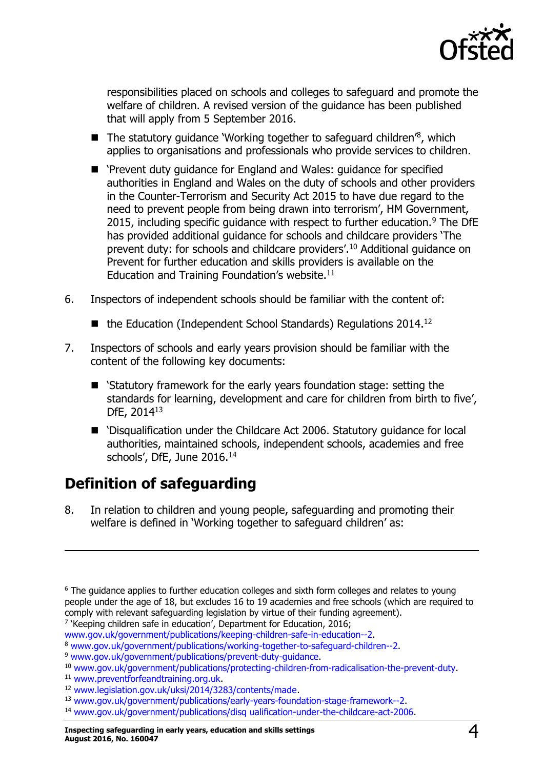

responsibilities placed on schools and colleges to safeguard and promote the welfare of children. A revised version of the guidance has been published that will apply from 5 September 2016.

- $\blacksquare$  The statutory guidance 'Working together to safeguard children<sup>'8</sup>, which applies to organisations and professionals who provide services to children.
- 'Prevent duty guidance for England and Wales: guidance for specified authorities in England and Wales on the duty of schools and other providers in the Counter-Terrorism and Security Act 2015 to have due regard to the need to prevent people from being drawn into terrorism', HM Government, 2015, including specific quidance with respect to further education.<sup>9</sup> The DfE has provided additional guidance for schools and childcare providers 'The prevent duty: for schools and childcare providers'.<sup>10</sup> Additional guidance on Prevent for further education and skills providers is available on the Education and Training Foundation's website. $11$
- 6. Inspectors of independent schools should be familiar with the content of:
	- $\blacksquare$  the Education (Independent School Standards) Regulations 2014.<sup>12</sup>
- 7. Inspectors of schools and early years provision should be familiar with the content of the following key documents:
	- 'Statutory framework for the early years foundation stage: setting the standards for learning, development and care for children from birth to five', DfE, 2014<sup>13</sup>
	- 'Disqualification under the Childcare Act 2006. Statutory guidance for local authorities, maintained schools, independent schools, academies and free schools', DfE, June 2016.<sup>14</sup>

# <span id="page-3-0"></span>**Definition of safeguarding**

8. In relation to children and young people, safeguarding and promoting their welfare is defined in 'Working together to safeguard children' as:

<sup>7</sup> 'Keeping children safe in education', Department for Education, 2016;

[www.gov.uk/government/publications/keeping-children-safe-in-education--2.](http://www.gov.uk/government/publications/keeping-children-safe-in-education--2)

 $\overline{a}$ 

<sup>&</sup>lt;sup>6</sup> The guidance applies to further education colleges and sixth form colleges and relates to young people under the age of 18, but excludes 16 to 19 academies and free schools (which are required to comply with relevant safeguarding legislation by virtue of their funding agreement).

<sup>8</sup> [www.gov.uk/government/publications/working-together-to-safeguard-children--2.](http://www.gov.uk/government/publications/working-together-to-safeguard-children--2)

<sup>9</sup> [www.gov.uk/government/publications/prevent-duty-guidance.](http://www.gov.uk/government/publications/prevent-duty-guidance)

<sup>10</sup> [www.gov.uk/government/publications/protecting-children-from-radicalisation-the-prevent-duty.](http://www.gov.uk/government/publications/protecting-children-from-radicalisation-the-prevent-duty)

<sup>11</sup> [www.preventforfeandtraining.org.uk.](http://www.preventforfeandtraining.org.uk/)

<sup>12</sup> [www.legislation.gov.uk/uksi/2014/3283/contents/made.](http://www.legislation.gov.uk/uksi/2014/3283/contents/made)

<sup>13</sup> [www.gov.uk/government/publications/early-years-foundation-stage-framework--2.](http://www.gov.uk/government/publications/early-years-foundation-stage-framework--2)

<sup>14</sup> [www.gov.uk/government/publications/disq](http://www.gov.uk/government/publications/disq%20ualification-under-the-childcare-act-2006) ualification-under-the-childcare-act-2006.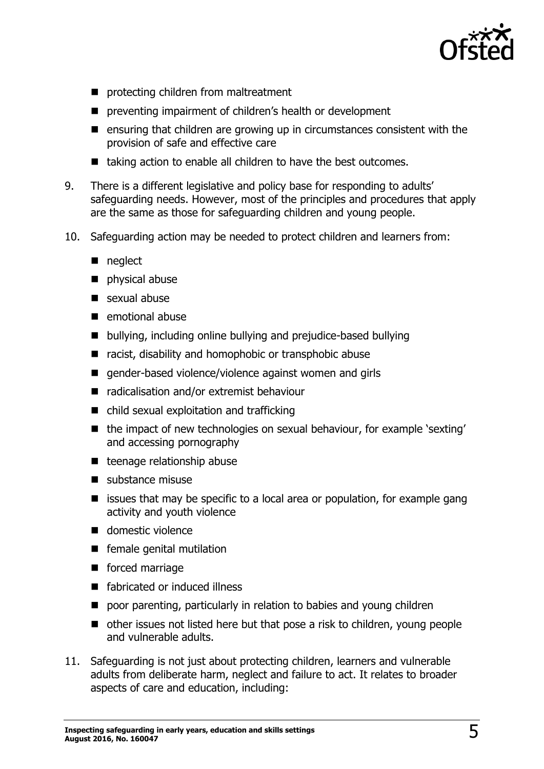

- **P** protecting children from maltreatment
- **P** preventing impairment of children's health or development
- $\blacksquare$  ensuring that children are growing up in circumstances consistent with the provision of safe and effective care
- taking action to enable all children to have the best outcomes.
- 9. There is a different legislative and policy base for responding to adults' safeguarding needs. However, most of the principles and procedures that apply are the same as those for safeguarding children and young people.
- 10. Safeguarding action may be needed to protect children and learners from:
	- neglect
	- physical abuse
	- sexual abuse
	- $\blacksquare$  emotional abuse
	- bullying, including online bullying and prejudice-based bullying
	- racist, disability and homophobic or transphobic abuse
	- gender-based violence/violence against women and girls
	- radicalisation and/or extremist behaviour
	- child sexual exploitation and trafficking
	- the impact of new technologies on sexual behaviour, for example 'sexting' and accessing pornography
	- $\blacksquare$  teenage relationship abuse
	- substance misuse
	- $\blacksquare$  issues that may be specific to a local area or population, for example gang activity and youth violence
	- domestic violence
	- **F** female genital mutilation
	- **forced marriage**
	- fabricated or induced illness
	- **P** poor parenting, particularly in relation to babies and young children
	- other issues not listed here but that pose a risk to children, young people and vulnerable adults.
- 11. Safeguarding is not just about protecting children, learners and vulnerable adults from deliberate harm, neglect and failure to act. It relates to broader aspects of care and education, including: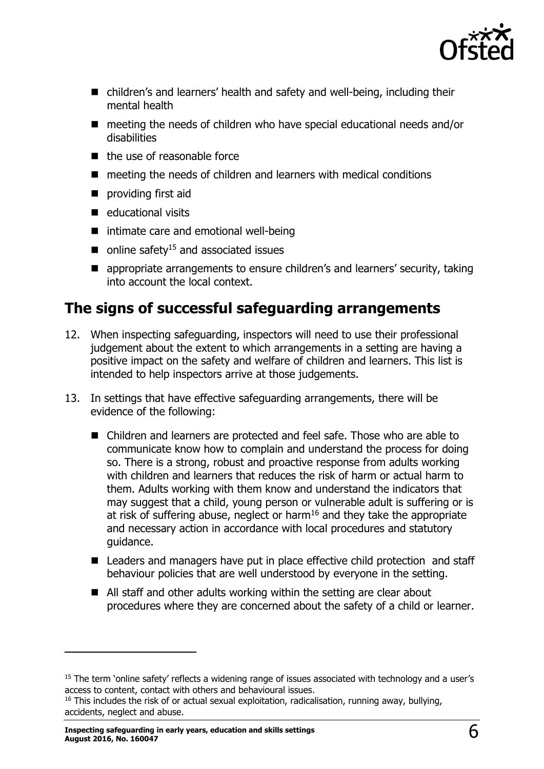

- children's and learners' health and safety and well-being, including their mental health
- $\blacksquare$  meeting the needs of children who have special educational needs and/or disabilities
- $\blacksquare$  the use of reasonable force
- $\blacksquare$  meeting the needs of children and learners with medical conditions
- providing first aid
- $\blacksquare$  educational visits
- intimate care and emotional well-being
- $\blacksquare$  online safety<sup>15</sup> and associated issues
- appropriate arrangements to ensure children's and learners' security, taking into account the local context.

### <span id="page-5-0"></span>**The signs of successful safeguarding arrangements**

- 12. When inspecting safeguarding, inspectors will need to use their professional judgement about the extent to which arrangements in a setting are having a positive impact on the safety and welfare of children and learners. This list is intended to help inspectors arrive at those judgements.
- 13. In settings that have effective safeguarding arrangements, there will be evidence of the following:
	- Children and learners are protected and feel safe. Those who are able to communicate know how to complain and understand the process for doing so. There is a strong, robust and proactive response from adults working with children and learners that reduces the risk of harm or actual harm to them. Adults working with them know and understand the indicators that may suggest that a child, young person or vulnerable adult is suffering or is at risk of suffering abuse, neglect or harm<sup>16</sup> and they take the appropriate and necessary action in accordance with local procedures and statutory guidance.
	- Leaders and managers have put in place effective child protection and staff behaviour policies that are well understood by everyone in the setting.
	- All staff and other adults working within the setting are clear about procedures where they are concerned about the safety of a child or learner.

<sup>&</sup>lt;sup>15</sup> The term 'online safety' reflects a widening range of issues associated with technology and a user's access to content, contact with others and behavioural issues.

<sup>&</sup>lt;sup>16</sup> This includes the risk of or actual sexual exploitation, radicalisation, running away, bullying, accidents, neglect and abuse.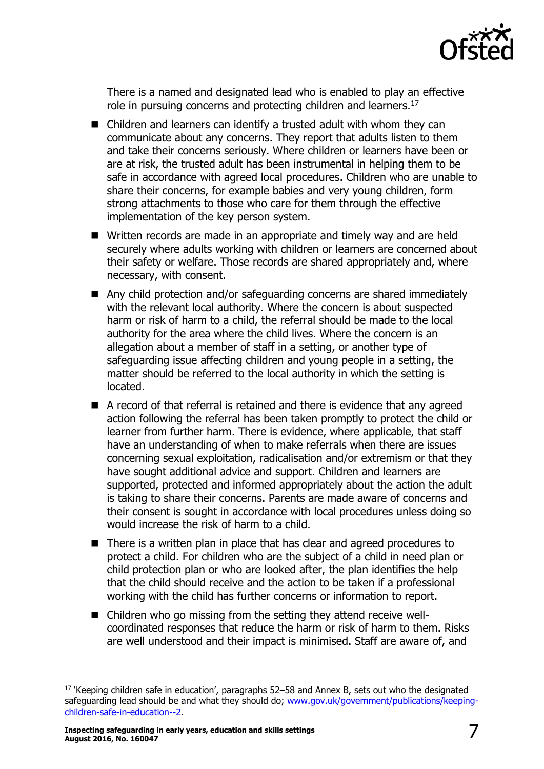

There is a named and designated lead who is enabled to play an effective role in pursuing concerns and protecting children and learners.<sup>17</sup>

- Children and learners can identify a trusted adult with whom they can communicate about any concerns. They report that adults listen to them and take their concerns seriously. Where children or learners have been or are at risk, the trusted adult has been instrumental in helping them to be safe in accordance with agreed local procedures. Children who are unable to share their concerns, for example babies and very young children, form strong attachments to those who care for them through the effective implementation of the key person system.
- Written records are made in an appropriate and timely way and are held securely where adults working with children or learners are concerned about their safety or welfare. Those records are shared appropriately and, where necessary, with consent.
- Any child protection and/or safeguarding concerns are shared immediately with the relevant local authority. Where the concern is about suspected harm or risk of harm to a child, the referral should be made to the local authority for the area where the child lives. Where the concern is an allegation about a member of staff in a setting, or another type of safeguarding issue affecting children and young people in a setting, the matter should be referred to the local authority in which the setting is located.
- A record of that referral is retained and there is evidence that any agreed action following the referral has been taken promptly to protect the child or learner from further harm. There is evidence, where applicable, that staff have an understanding of when to make referrals when there are issues concerning sexual exploitation, radicalisation and/or extremism or that they have sought additional advice and support. Children and learners are supported, protected and informed appropriately about the action the adult is taking to share their concerns. Parents are made aware of concerns and their consent is sought in accordance with local procedures unless doing so would increase the risk of harm to a child.
- There is a written plan in place that has clear and agreed procedures to protect a child. For children who are the subject of a child in need plan or child protection plan or who are looked after, the plan identifies the help that the child should receive and the action to be taken if a professional working with the child has further concerns or information to report.
- Children who go missing from the setting they attend receive wellcoordinated responses that reduce the harm or risk of harm to them. Risks are well understood and their impact is minimised. Staff are aware of, and

<sup>&</sup>lt;sup>17</sup> 'Keeping children safe in education', paragraphs 52–58 and Annex B, sets out who the designated safeguarding lead should be and what they should do; [www.gov.uk/government/publications/keeping](http://www.gov.uk/government/publications/keeping-children-safe-in-education--2)[children-safe-in-education--2.](http://www.gov.uk/government/publications/keeping-children-safe-in-education--2)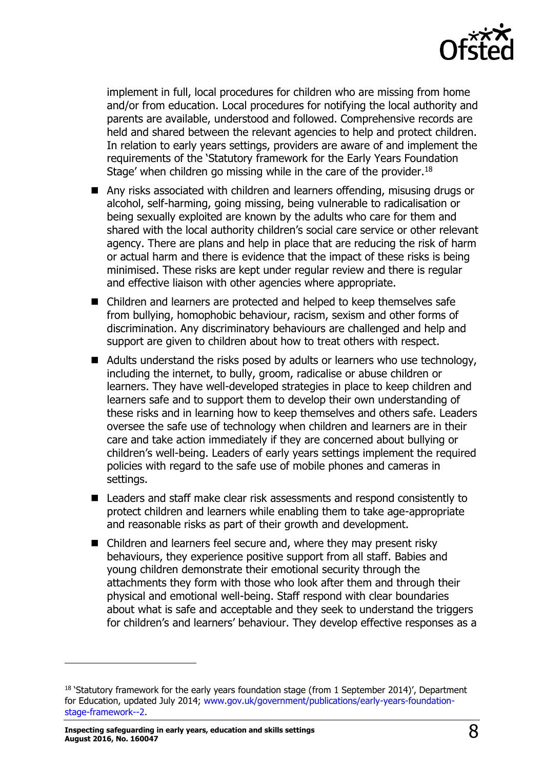

implement in full, local procedures for children who are missing from home and/or from education. Local procedures for notifying the local authority and parents are available, understood and followed. Comprehensive records are held and shared between the relevant agencies to help and protect children. In relation to early years settings, providers are aware of and implement the requirements of the 'Statutory framework for the Early Years Foundation Stage' when children go missing while in the care of the provider. $18$ 

- Any risks associated with children and learners offending, misusing drugs or alcohol, self-harming, going missing, being vulnerable to radicalisation or being sexually exploited are known by the adults who care for them and shared with the local authority children's social care service or other relevant agency. There are plans and help in place that are reducing the risk of harm or actual harm and there is evidence that the impact of these risks is being minimised. These risks are kept under regular review and there is regular and effective liaison with other agencies where appropriate.
- Children and learners are protected and helped to keep themselves safe from bullying, homophobic behaviour, racism, sexism and other forms of discrimination. Any discriminatory behaviours are challenged and help and support are given to children about how to treat others with respect.
- Adults understand the risks posed by adults or learners who use technology, including the internet, to bully, groom, radicalise or abuse children or learners. They have well-developed strategies in place to keep children and learners safe and to support them to develop their own understanding of these risks and in learning how to keep themselves and others safe. Leaders oversee the safe use of technology when children and learners are in their care and take action immediately if they are concerned about bullying or children's well-being. Leaders of early years settings implement the required policies with regard to the safe use of mobile phones and cameras in settings.
- Leaders and staff make clear risk assessments and respond consistently to protect children and learners while enabling them to take age-appropriate and reasonable risks as part of their growth and development.
- Children and learners feel secure and, where they may present risky behaviours, they experience positive support from all staff. Babies and young children demonstrate their emotional security through the attachments they form with those who look after them and through their physical and emotional well-being. Staff respond with clear boundaries about what is safe and acceptable and they seek to understand the triggers for children's and learners' behaviour. They develop effective responses as a

**Inspecting safeguarding in early years, education and skills settings August 2016, No. 160047** 8

 $18$  'Statutory framework for the early years foundation stage (from 1 September 2014)', Department for Education, updated July 2014; [www.gov.uk/government/publications/early-years-foundation](http://www.gov.uk/government/publications/early-years-foundation-stage-framework--2)[stage-framework--2.](http://www.gov.uk/government/publications/early-years-foundation-stage-framework--2)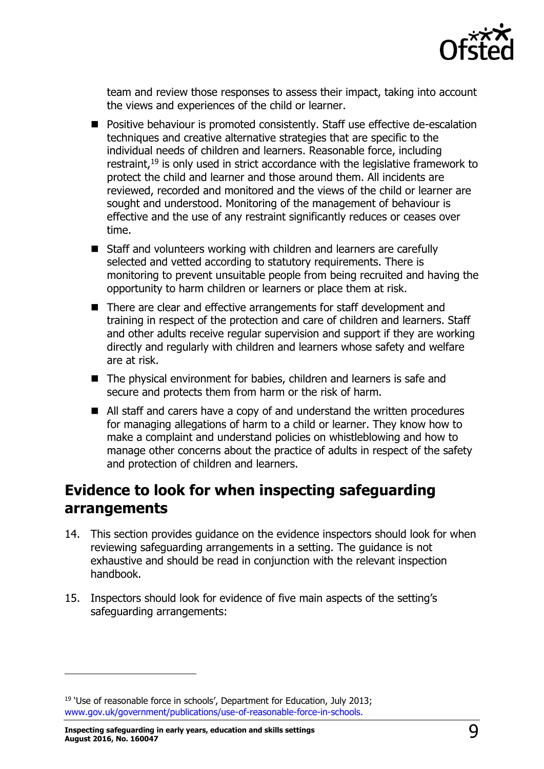

team and review those responses to assess their impact, taking into account the views and experiences of the child or learner.

- Positive behaviour is promoted consistently. Staff use effective de-escalation techniques and creative alternative strategies that are specific to the individual needs of children and learners. Reasonable force, including restraint, $19$  is only used in strict accordance with the legislative framework to protect the child and learner and those around them. All incidents are reviewed, recorded and monitored and the views of the child or learner are sought and understood. Monitoring of the management of behaviour is effective and the use of any restraint significantly reduces or ceases over time.
- Staff and volunteers working with children and learners are carefully selected and vetted according to statutory requirements. There is monitoring to prevent unsuitable people from being recruited and having the opportunity to harm children or learners or place them at risk.
- There are clear and effective arrangements for staff development and training in respect of the protection and care of children and learners. Staff and other adults receive regular supervision and support if they are working directly and regularly with children and learners whose safety and welfare are at risk.
- The physical environment for babies, children and learners is safe and secure and protects them from harm or the risk of harm.
- All staff and carers have a copy of and understand the written procedures for managing allegations of harm to a child or learner. They know how to make a complaint and understand policies on whistleblowing and how to manage other concerns about the practice of adults in respect of the safety and protection of children and learners.

# <span id="page-8-0"></span>**Evidence to look for when inspecting safeguarding arrangements**

- 14. This section provides guidance on the evidence inspectors should look for when reviewing safeguarding arrangements in a setting. The guidance is not exhaustive and should be read in conjunction with the relevant inspection handbook.
- 15. Inspectors should look for evidence of five main aspects of the setting's safeguarding arrangements:

j

<sup>&</sup>lt;sup>19</sup> 'Use of reasonable force in schools', Department for Education, July 2013; [www.gov.uk/government/publications/use-of-reasonable-force-in-schools.](http://www.gov.uk/government/publications/use-of-reasonable-force-in-schools)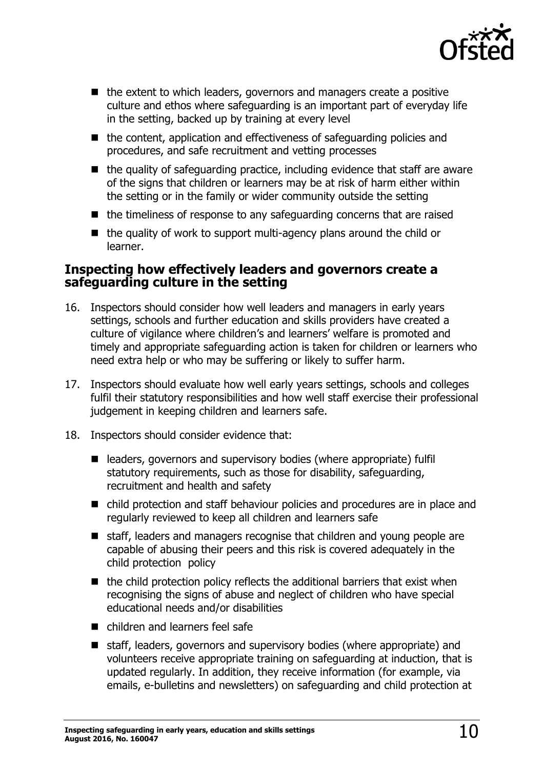

- $\blacksquare$  the extent to which leaders, governors and managers create a positive culture and ethos where safeguarding is an important part of everyday life in the setting, backed up by training at every level
- $\blacksquare$  the content, application and effectiveness of safeguarding policies and procedures, and safe recruitment and vetting processes
- $\blacksquare$  the quality of safeguarding practice, including evidence that staff are aware of the signs that children or learners may be at risk of harm either within the setting or in the family or wider community outside the setting
- $\blacksquare$  the timeliness of response to any safeguarding concerns that are raised
- $\blacksquare$  the quality of work to support multi-agency plans around the child or learner.

#### <span id="page-9-0"></span>**Inspecting how effectively leaders and governors create a safeguarding culture in the setting**

- 16. Inspectors should consider how well leaders and managers in early years settings, schools and further education and skills providers have created a culture of vigilance where children's and learners' welfare is promoted and timely and appropriate safeguarding action is taken for children or learners who need extra help or who may be suffering or likely to suffer harm.
- 17. Inspectors should evaluate how well early years settings, schools and colleges fulfil their statutory responsibilities and how well staff exercise their professional judgement in keeping children and learners safe.
- 18. Inspectors should consider evidence that:
	- leaders, governors and supervisory bodies (where appropriate) fulfil statutory requirements, such as those for disability, safeguarding, recruitment and health and safety
	- child protection and staff behaviour policies and procedures are in place and regularly reviewed to keep all children and learners safe
	- staff, leaders and managers recognise that children and young people are capable of abusing their peers and this risk is covered adequately in the child protection policy
	- $\blacksquare$  the child protection policy reflects the additional barriers that exist when recognising the signs of abuse and neglect of children who have special educational needs and/or disabilities
	- children and learners feel safe
	- staff, leaders, governors and supervisory bodies (where appropriate) and volunteers receive appropriate training on safeguarding at induction, that is updated regularly. In addition, they receive information (for example, via emails, e-bulletins and newsletters) on safeguarding and child protection at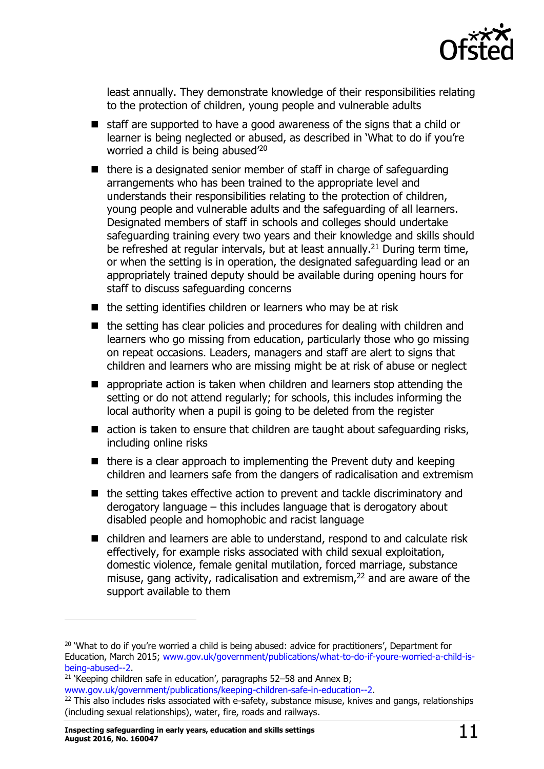

least annually. They demonstrate knowledge of their responsibilities relating to the protection of children, young people and vulnerable adults

- staff are supported to have a good awareness of the signs that a child or learner is being neglected or abused, as described in 'What to do if you're worried a child is being abused<sup>'20</sup>
- $\blacksquare$  there is a designated senior member of staff in charge of safeguarding arrangements who has been trained to the appropriate level and understands their responsibilities relating to the protection of children, young people and vulnerable adults and the safeguarding of all learners. Designated members of staff in schools and colleges should undertake safeguarding training every two years and their knowledge and skills should be refreshed at regular intervals, but at least annually.<sup>21</sup> During term time, or when the setting is in operation, the designated safeguarding lead or an appropriately trained deputy should be available during opening hours for staff to discuss safeguarding concerns
- $\blacksquare$  the setting identifies children or learners who may be at risk
- the setting has clear policies and procedures for dealing with children and learners who go missing from education, particularly those who go missing on repeat occasions. Leaders, managers and staff are alert to signs that children and learners who are missing might be at risk of abuse or neglect
- **E** appropriate action is taken when children and learners stop attending the setting or do not attend regularly; for schools, this includes informing the local authority when a pupil is going to be deleted from the register
- action is taken to ensure that children are taught about safeguarding risks, including online risks
- $\blacksquare$  there is a clear approach to implementing the Prevent duty and keeping children and learners safe from the dangers of radicalisation and extremism
- the setting takes effective action to prevent and tackle discriminatory and derogatory language – this includes language that is derogatory about disabled people and homophobic and racist language
- children and learners are able to understand, respond to and calculate risk effectively, for example risks associated with child sexual exploitation, domestic violence, female genital mutilation, forced marriage, substance misuse, gang activity, radicalisation and extremism,<sup>22</sup> and are aware of the support available to them

j

<sup>&</sup>lt;sup>20</sup> 'What to do if you're worried a child is being abused: advice for practitioners', Department for Education, March 2015; [www.gov.uk/government/publications/what-to-do-if-youre-worried-a-child-is](http://www.gov.uk/government/publications/what-to-do-if-youre-worried-a-child-is-being-abused--2)[being-abused--2.](http://www.gov.uk/government/publications/what-to-do-if-youre-worried-a-child-is-being-abused--2)

<sup>&</sup>lt;sup>21</sup> 'Keeping children safe in education', paragraphs 52–58 and Annex B;

[www.gov.uk/government/publications/keeping-children-safe-in-education--2.](http://www.gov.uk/government/publications/keeping-children-safe-in-education--2)

<sup>&</sup>lt;sup>22</sup> This also includes risks associated with e-safety, substance misuse, knives and gangs, relationships (including sexual relationships), water, fire, roads and railways.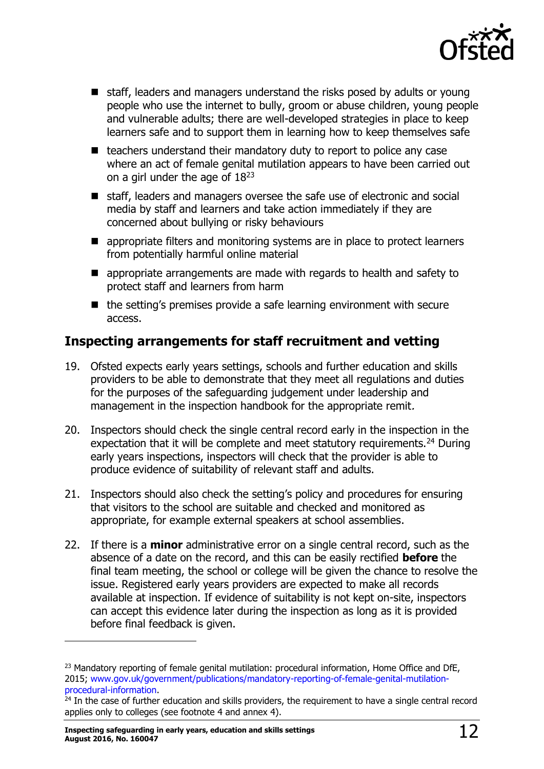

- staff, leaders and managers understand the risks posed by adults or young people who use the internet to bully, groom or abuse children, young people and vulnerable adults; there are well-developed strategies in place to keep learners safe and to support them in learning how to keep themselves safe
- $\blacksquare$  teachers understand their mandatory duty to report to police any case where an act of female genital mutilation appears to have been carried out on a girl under the age of 18<sup>23</sup>
- staff, leaders and managers oversee the safe use of electronic and social media by staff and learners and take action immediately if they are concerned about bullying or risky behaviours
- **E** appropriate filters and monitoring systems are in place to protect learners from potentially harmful online material
- **E** appropriate arrangements are made with regards to health and safety to protect staff and learners from harm
- $\blacksquare$  the setting's premises provide a safe learning environment with secure access.

#### <span id="page-11-0"></span>**Inspecting arrangements for staff recruitment and vetting**

- 19. Ofsted expects early years settings, schools and further education and skills providers to be able to demonstrate that they meet all regulations and duties for the purposes of the safeguarding judgement under leadership and management in the inspection handbook for the appropriate remit.
- 20. Inspectors should check the single central record early in the inspection in the expectation that it will be complete and meet statutory requirements.<sup>24</sup> During early years inspections, inspectors will check that the provider is able to produce evidence of suitability of relevant staff and adults.
- 21. Inspectors should also check the setting's policy and procedures for ensuring that visitors to the school are suitable and checked and monitored as appropriate, for example external speakers at school assemblies.
- 22. If there is a **minor** administrative error on a single central record, such as the absence of a date on the record, and this can be easily rectified **before** the final team meeting, the school or college will be given the chance to resolve the issue. Registered early years providers are expected to make all records available at inspection. If evidence of suitability is not kept on-site, inspectors can accept this evidence later during the inspection as long as it is provided before final feedback is given.

 $\overline{a}$ 

<sup>&</sup>lt;sup>23</sup> Mandatory reporting of female genital mutilation: procedural information, Home Office and DfE, 2015; [www.gov.uk/government/publications/mandatory-reporting-of-female-genital-mutilation](http://www.gov.uk/government/publications/mandatory-reporting-of-female-genital-mutilation-procedural-information)[procedural-information.](http://www.gov.uk/government/publications/mandatory-reporting-of-female-genital-mutilation-procedural-information)

<sup>&</sup>lt;sup>24</sup> In the case of further education and skills providers, the requirement to have a single central record applies only to colleges (see footnote 4 and annex 4).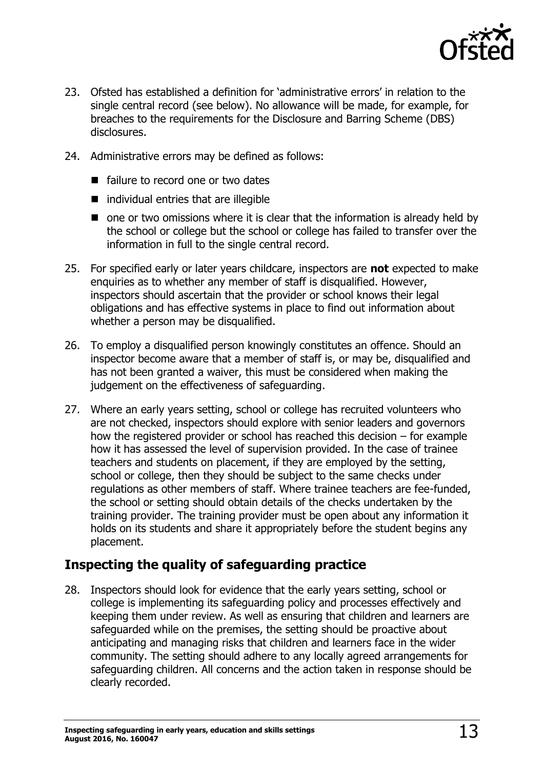

- 23. Ofsted has established a definition for 'administrative errors' in relation to the single central record (see below). No allowance will be made, for example, for breaches to the requirements for the Disclosure and Barring Scheme (DBS) disclosures.
- 24. Administrative errors may be defined as follows:
	- failure to record one or two dates
	- $\blacksquare$  individual entries that are illegible
	- $\blacksquare$  one or two omissions where it is clear that the information is already held by the school or college but the school or college has failed to transfer over the information in full to the single central record.
- 25. For specified early or later years childcare, inspectors are **not** expected to make enquiries as to whether any member of staff is disqualified. However, inspectors should ascertain that the provider or school knows their legal obligations and has effective systems in place to find out information about whether a person may be disqualified.
- 26. To employ a disqualified person knowingly constitutes an offence. Should an inspector become aware that a member of staff is, or may be, disqualified and has not been granted a waiver, this must be considered when making the judgement on the effectiveness of safeguarding.
- 27. Where an early years setting, school or college has recruited volunteers who are not checked, inspectors should explore with senior leaders and governors how the registered provider or school has reached this decision – for example how it has assessed the level of supervision provided. In the case of trainee teachers and students on placement, if they are employed by the setting, school or college, then they should be subject to the same checks under regulations as other members of staff. Where trainee teachers are fee-funded, the school or setting should obtain details of the checks undertaken by the training provider. The training provider must be open about any information it holds on its students and share it appropriately before the student begins any placement.

#### <span id="page-12-0"></span>**Inspecting the quality of safeguarding practice**

28. Inspectors should look for evidence that the early years setting, school or college is implementing its safeguarding policy and processes effectively and keeping them under review. As well as ensuring that children and learners are safeguarded while on the premises, the setting should be proactive about anticipating and managing risks that children and learners face in the wider community. The setting should adhere to any locally agreed arrangements for safeguarding children. All concerns and the action taken in response should be clearly recorded.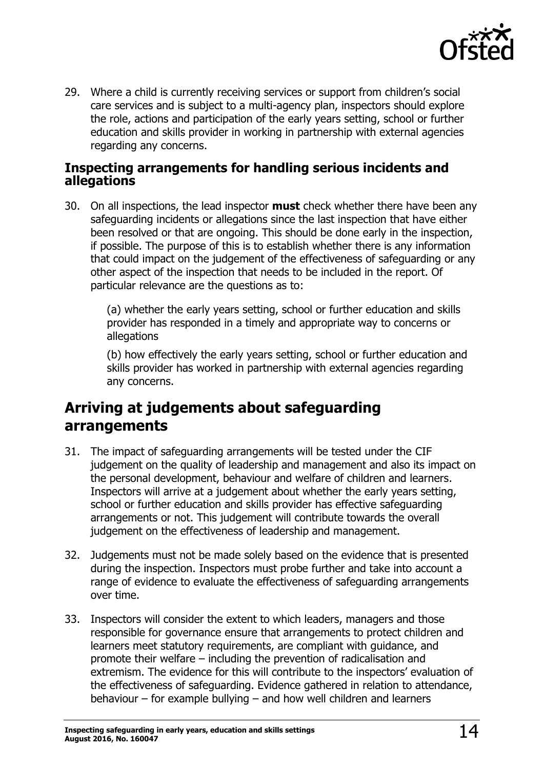

29. Where a child is currently receiving services or support from children's social care services and is subject to a multi-agency plan, inspectors should explore the role, actions and participation of the early years setting, school or further education and skills provider in working in partnership with external agencies regarding any concerns.

#### <span id="page-13-0"></span>**Inspecting arrangements for handling serious incidents and allegations**

30. On all inspections, the lead inspector **must** check whether there have been any safeguarding incidents or allegations since the last inspection that have either been resolved or that are ongoing. This should be done early in the inspection, if possible. The purpose of this is to establish whether there is any information that could impact on the judgement of the effectiveness of safeguarding or any other aspect of the inspection that needs to be included in the report. Of particular relevance are the questions as to:

> (a) whether the early years setting, school or further education and skills provider has responded in a timely and appropriate way to concerns or allegations

(b) how effectively the early years setting, school or further education and skills provider has worked in partnership with external agencies regarding any concerns.

# <span id="page-13-1"></span>**Arriving at judgements about safeguarding arrangements**

- 31. The impact of safeguarding arrangements will be tested under the CIF judgement on the quality of leadership and management and also its impact on the personal development, behaviour and welfare of children and learners. Inspectors will arrive at a judgement about whether the early years setting, school or further education and skills provider has effective safeguarding arrangements or not. This judgement will contribute towards the overall judgement on the effectiveness of leadership and management.
- 32. Judgements must not be made solely based on the evidence that is presented during the inspection. Inspectors must probe further and take into account a range of evidence to evaluate the effectiveness of safeguarding arrangements over time.
- 33. Inspectors will consider the extent to which leaders, managers and those responsible for governance ensure that arrangements to protect children and learners meet statutory requirements, are compliant with guidance, and promote their welfare – including the prevention of radicalisation and extremism. The evidence for this will contribute to the inspectors' evaluation of the effectiveness of safeguarding. Evidence gathered in relation to attendance, behaviour – for example bullying – and how well children and learners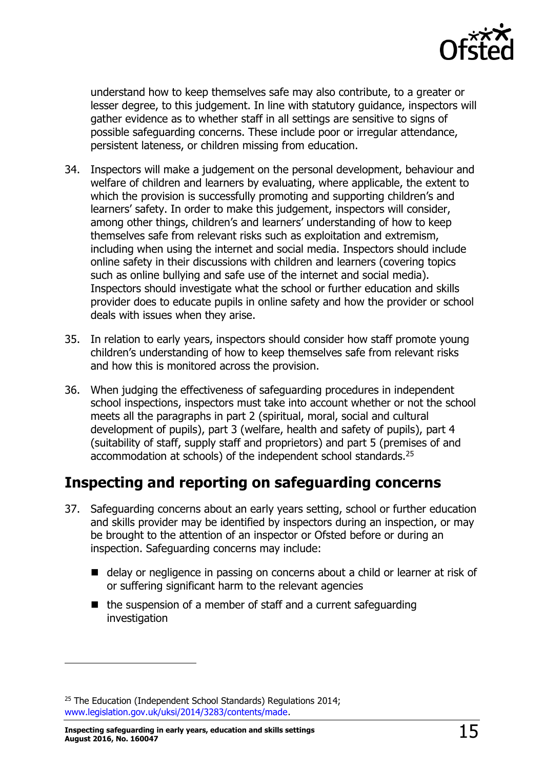

understand how to keep themselves safe may also contribute, to a greater or lesser degree, to this judgement. In line with statutory guidance, inspectors will gather evidence as to whether staff in all settings are sensitive to signs of possible safeguarding concerns. These include poor or irregular attendance, persistent lateness, or children missing from education.

- 34. Inspectors will make a judgement on the personal development, behaviour and welfare of children and learners by evaluating, where applicable, the extent to which the provision is successfully promoting and supporting children's and learners' safety. In order to make this judgement, inspectors will consider, among other things, children's and learners' understanding of how to keep themselves safe from relevant risks such as exploitation and extremism, including when using the internet and social media. Inspectors should include online safety in their discussions with children and learners (covering topics such as online bullying and safe use of the internet and social media). Inspectors should investigate what the school or further education and skills provider does to educate pupils in online safety and how the provider or school deals with issues when they arise.
- 35. In relation to early years, inspectors should consider how staff promote young children's understanding of how to keep themselves safe from relevant risks and how this is monitored across the provision.
- 36. When judging the effectiveness of safeguarding procedures in independent school inspections, inspectors must take into account whether or not the school meets all the paragraphs in part 2 (spiritual, moral, social and cultural development of pupils), part 3 (welfare, health and safety of pupils), part 4 (suitability of staff, supply staff and proprietors) and part 5 (premises of and accommodation at schools) of the independent school standards. 25

### <span id="page-14-0"></span>**Inspecting and reporting on safeguarding concerns**

- 37. Safeguarding concerns about an early years setting, school or further education and skills provider may be identified by inspectors during an inspection, or may be brought to the attention of an inspector or Ofsted before or during an inspection. Safeguarding concerns may include:
	- delay or negligence in passing on concerns about a child or learner at risk of or suffering significant harm to the relevant agencies
	- $\blacksquare$  the suspension of a member of staff and a current safeguarding investigation

<sup>&</sup>lt;sup>25</sup> The Education (Independent School Standards) Regulations 2014; [www.legislation.gov.uk/uksi/2014/3283/contents/made.](http://www.legislation.gov.uk/uksi/2014/3283/contents/made)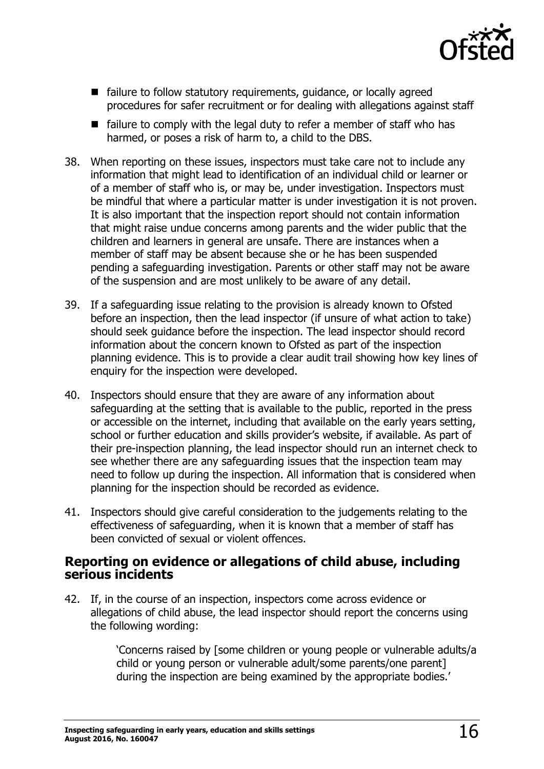

- failure to follow statutory requirements, guidance, or locally agreed procedures for safer recruitment or for dealing with allegations against staff
- $\blacksquare$  failure to comply with the legal duty to refer a member of staff who has harmed, or poses a risk of harm to, a child to the DBS.
- 38. When reporting on these issues, inspectors must take care not to include any information that might lead to identification of an individual child or learner or of a member of staff who is, or may be, under investigation. Inspectors must be mindful that where a particular matter is under investigation it is not proven. It is also important that the inspection report should not contain information that might raise undue concerns among parents and the wider public that the children and learners in general are unsafe. There are instances when a member of staff may be absent because she or he has been suspended pending a safeguarding investigation. Parents or other staff may not be aware of the suspension and are most unlikely to be aware of any detail.
- 39. If a safeguarding issue relating to the provision is already known to Ofsted before an inspection, then the lead inspector (if unsure of what action to take) should seek guidance before the inspection. The lead inspector should record information about the concern known to Ofsted as part of the inspection planning evidence. This is to provide a clear audit trail showing how key lines of enquiry for the inspection were developed.
- 40. Inspectors should ensure that they are aware of any information about safeguarding at the setting that is available to the public, reported in the press or accessible on the internet, including that available on the early years setting, school or further education and skills provider's website, if available. As part of their pre-inspection planning, the lead inspector should run an internet check to see whether there are any safeguarding issues that the inspection team may need to follow up during the inspection. All information that is considered when planning for the inspection should be recorded as evidence.
- 41. Inspectors should give careful consideration to the judgements relating to the effectiveness of safeguarding, when it is known that a member of staff has been convicted of sexual or violent offences.

#### <span id="page-15-0"></span>**Reporting on evidence or allegations of child abuse, including serious incidents**

42. If, in the course of an inspection, inspectors come across evidence or allegations of child abuse, the lead inspector should report the concerns using the following wording:

> 'Concerns raised by [some children or young people or vulnerable adults/a child or young person or vulnerable adult/some parents/one parent] during the inspection are being examined by the appropriate bodies.'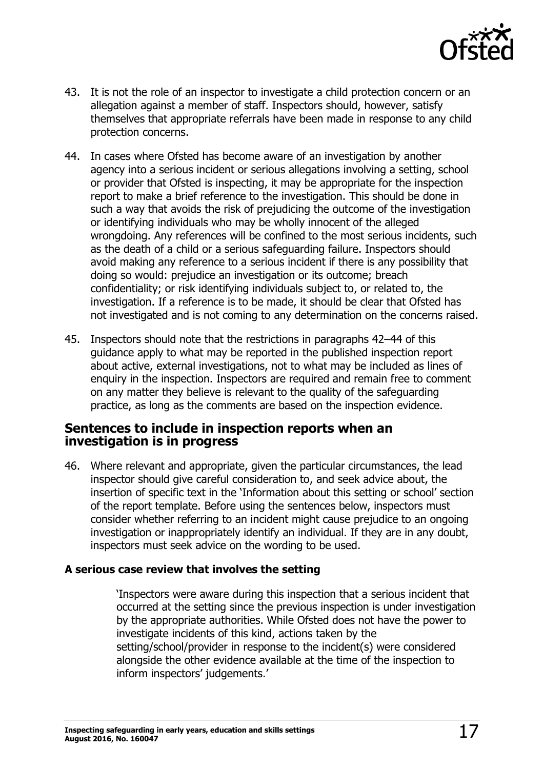

- 43. It is not the role of an inspector to investigate a child protection concern or an allegation against a member of staff. Inspectors should, however, satisfy themselves that appropriate referrals have been made in response to any child protection concerns.
- 44. In cases where Ofsted has become aware of an investigation by another agency into a serious incident or serious allegations involving a setting, school or provider that Ofsted is inspecting, it may be appropriate for the inspection report to make a brief reference to the investigation. This should be done in such a way that avoids the risk of prejudicing the outcome of the investigation or identifying individuals who may be wholly innocent of the alleged wrongdoing. Any references will be confined to the most serious incidents, such as the death of a child or a serious safeguarding failure. Inspectors should avoid making any reference to a serious incident if there is any possibility that doing so would: prejudice an investigation or its outcome; breach confidentiality; or risk identifying individuals subject to, or related to, the investigation. If a reference is to be made, it should be clear that Ofsted has not investigated and is not coming to any determination on the concerns raised.
- 45. Inspectors should note that the restrictions in paragraphs 42–44 of this guidance apply to what may be reported in the published inspection report about active, external investigations, not to what may be included as lines of enquiry in the inspection. Inspectors are required and remain free to comment on any matter they believe is relevant to the quality of the safeguarding practice, as long as the comments are based on the inspection evidence.

#### <span id="page-16-0"></span>**Sentences to include in inspection reports when an investigation is in progress**

46. Where relevant and appropriate, given the particular circumstances, the lead inspector should give careful consideration to, and seek advice about, the insertion of specific text in the 'Information about this setting or school' section of the report template. Before using the sentences below, inspectors must consider whether referring to an incident might cause prejudice to an ongoing investigation or inappropriately identify an individual. If they are in any doubt, inspectors must seek advice on the wording to be used.

#### **A serious case review that involves the setting**

'Inspectors were aware during this inspection that a serious incident that occurred at the setting since the previous inspection is under investigation by the appropriate authorities. While Ofsted does not have the power to investigate incidents of this kind, actions taken by the setting/school/provider in response to the incident(s) were considered alongside the other evidence available at the time of the inspection to inform inspectors' judgements.'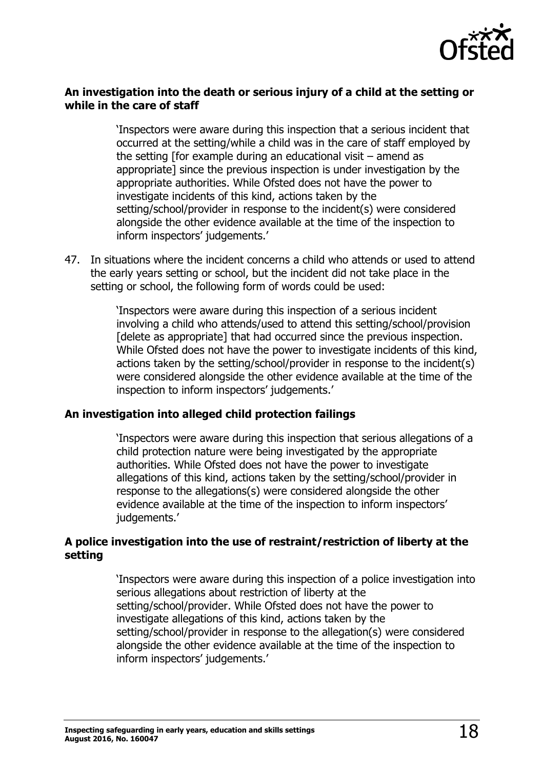

#### **An investigation into the death or serious injury of a child at the setting or while in the care of staff**

'Inspectors were aware during this inspection that a serious incident that occurred at the setting/while a child was in the care of staff employed by the setting [for example during an educational visit – amend as appropriate] since the previous inspection is under investigation by the appropriate authorities. While Ofsted does not have the power to investigate incidents of this kind, actions taken by the setting/school/provider in response to the incident(s) were considered alongside the other evidence available at the time of the inspection to inform inspectors' judgements.'

47. In situations where the incident concerns a child who attends or used to attend the early years setting or school, but the incident did not take place in the setting or school, the following form of words could be used:

> 'Inspectors were aware during this inspection of a serious incident involving a child who attends/used to attend this setting/school/provision [delete as appropriate] that had occurred since the previous inspection. While Ofsted does not have the power to investigate incidents of this kind, actions taken by the setting/school/provider in response to the incident(s) were considered alongside the other evidence available at the time of the inspection to inform inspectors' judgements.'

#### **An investigation into alleged child protection failings**

'Inspectors were aware during this inspection that serious allegations of a child protection nature were being investigated by the appropriate authorities. While Ofsted does not have the power to investigate allegations of this kind, actions taken by the setting/school/provider in response to the allegations(s) were considered alongside the other evidence available at the time of the inspection to inform inspectors' judgements.'

#### **A police investigation into the use of restraint/restriction of liberty at the setting**

'Inspectors were aware during this inspection of a police investigation into serious allegations about restriction of liberty at the setting/school/provider. While Ofsted does not have the power to investigate allegations of this kind, actions taken by the setting/school/provider in response to the allegation(s) were considered alongside the other evidence available at the time of the inspection to inform inspectors' judgements.'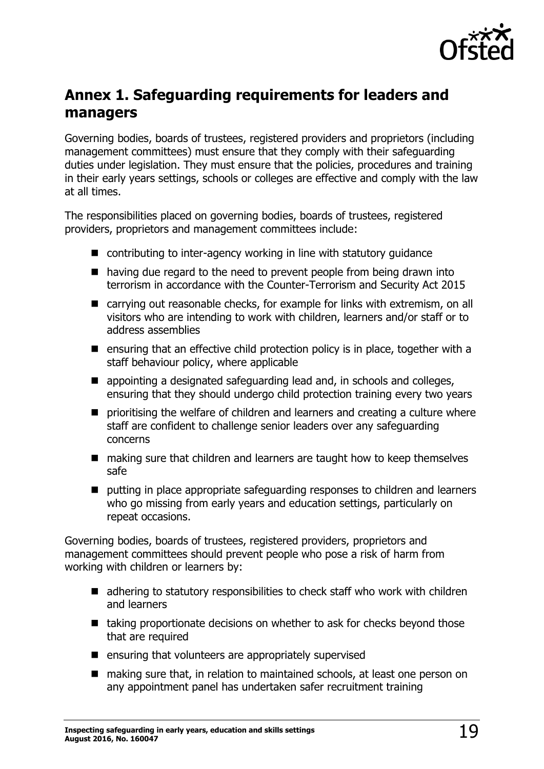

# <span id="page-18-0"></span>**Annex 1. Safeguarding requirements for leaders and managers**

Governing bodies, boards of trustees, registered providers and proprietors (including management committees) must ensure that they comply with their safeguarding duties under legislation. They must ensure that the policies, procedures and training in their early years settings, schools or colleges are effective and comply with the law at all times.

The responsibilities placed on governing bodies, boards of trustees, registered providers, proprietors and management committees include:

- contributing to inter-agency working in line with statutory quidance
- having due regard to the need to prevent people from being drawn into terrorism in accordance with the Counter-Terrorism and Security Act 2015
- carrying out reasonable checks, for example for links with extremism, on all visitors who are intending to work with children, learners and/or staff or to address assemblies
- **E** ensuring that an effective child protection policy is in place, together with a staff behaviour policy, where applicable
- appointing a designated safeguarding lead and, in schools and colleges, ensuring that they should undergo child protection training every two years
- **P** prioritising the welfare of children and learners and creating a culture where staff are confident to challenge senior leaders over any safeguarding concerns
- making sure that children and learners are taught how to keep themselves safe
- putting in place appropriate safeguarding responses to children and learners who go missing from early years and education settings, particularly on repeat occasions.

Governing bodies, boards of trustees, registered providers, proprietors and management committees should prevent people who pose a risk of harm from working with children or learners by:

- adhering to statutory responsibilities to check staff who work with children and learners
- $\blacksquare$  taking proportionate decisions on whether to ask for checks beyond those that are required
- $\blacksquare$  ensuring that volunteers are appropriately supervised
- making sure that, in relation to maintained schools, at least one person on any appointment panel has undertaken safer recruitment training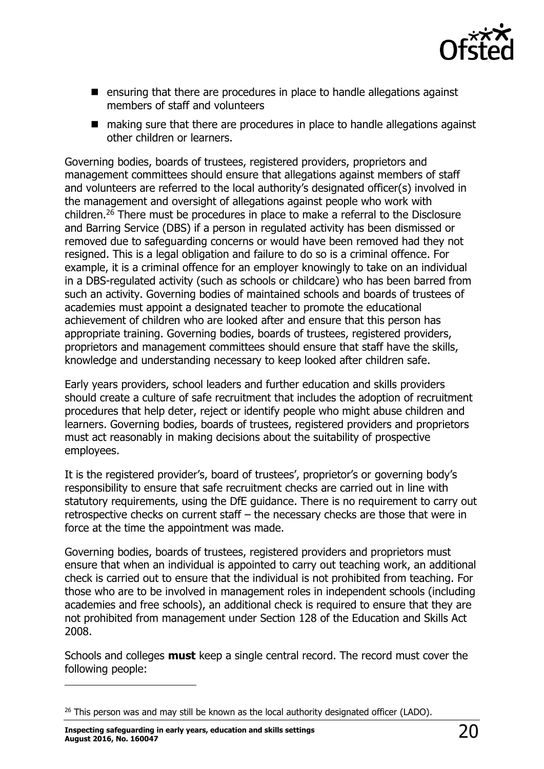

- ensuring that there are procedures in place to handle allegations against members of staff and volunteers
- making sure that there are procedures in place to handle allegations against other children or learners.

Governing bodies, boards of trustees, registered providers, proprietors and management committees should ensure that allegations against members of staff and volunteers are referred to the local authority's designated officer(s) involved in the management and oversight of allegations against people who work with children.<sup>26</sup> There must be procedures in place to make a referral to the Disclosure and Barring Service (DBS) if a person in regulated activity has been dismissed or removed due to safeguarding concerns or would have been removed had they not resigned. This is a legal obligation and failure to do so is a criminal offence. For example, it is a criminal offence for an employer knowingly to take on an individual in a DBS-regulated activity (such as schools or childcare) who has been barred from such an activity. Governing bodies of maintained schools and boards of trustees of academies must appoint a designated teacher to promote the educational achievement of children who are looked after and ensure that this person has appropriate training. Governing bodies, boards of trustees, registered providers, proprietors and management committees should ensure that staff have the skills, knowledge and understanding necessary to keep looked after children safe.

Early years providers, school leaders and further education and skills providers should create a culture of safe recruitment that includes the adoption of recruitment procedures that help deter, reject or identify people who might abuse children and learners. Governing bodies, boards of trustees, registered providers and proprietors must act reasonably in making decisions about the suitability of prospective employees.

It is the registered provider's, board of trustees', proprietor's or governing body's responsibility to ensure that safe recruitment checks are carried out in line with statutory requirements, using the DfE guidance. There is no requirement to carry out retrospective checks on current staff – the necessary checks are those that were in force at the time the appointment was made.

Governing bodies, boards of trustees, registered providers and proprietors must ensure that when an individual is appointed to carry out teaching work, an additional check is carried out to ensure that the individual is not prohibited from teaching. For those who are to be involved in management roles in independent schools (including academies and free schools), an additional check is required to ensure that they are not prohibited from management under Section 128 of the Education and Skills Act 2008.

Schools and colleges **must** keep a single central record. The record must cover the following people:

**Inspecting safeguarding in early years, education and skills settings August 2016, No. 160047** 20

j

 $26$  This person was and may still be known as the local authority designated officer (LADO).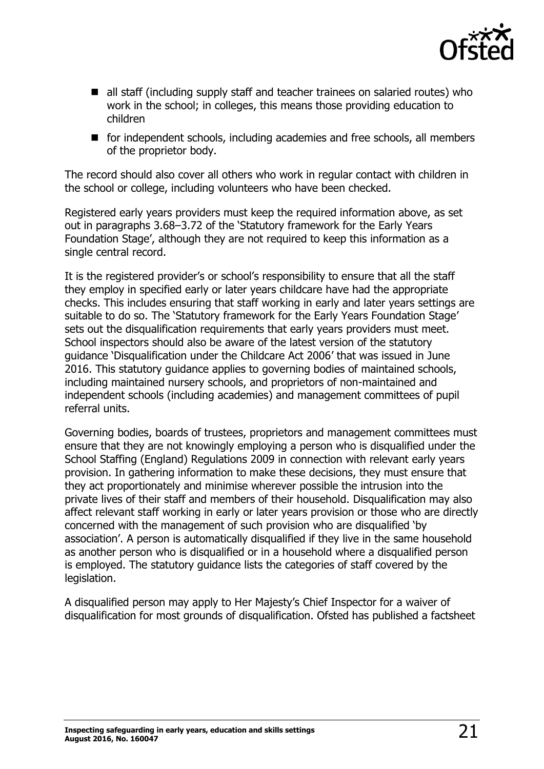

- all staff (including supply staff and teacher trainees on salaried routes) who work in the school; in colleges, this means those providing education to children
- for independent schools, including academies and free schools, all members of the proprietor body.

The record should also cover all others who work in regular contact with children in the school or college, including volunteers who have been checked.

Registered early years providers must keep the required information above, as set out in paragraphs 3.68–3.72 of the 'Statutory framework for the Early Years Foundation Stage', although they are not required to keep this information as a single central record.

It is the registered provider's or school's responsibility to ensure that all the staff they employ in specified early or later years childcare have had the appropriate checks. This includes ensuring that staff working in early and later years settings are suitable to do so. The 'Statutory framework for the Early Years Foundation Stage' sets out the disqualification requirements that early years providers must meet. School inspectors should also be aware of the latest version of the statutory guidance 'Disqualification under the Childcare Act 2006' that was issued in June 2016. This statutory guidance applies to governing bodies of maintained schools, including maintained nursery schools, and proprietors of non-maintained and independent schools (including academies) and management committees of pupil referral units.

Governing bodies, boards of trustees, proprietors and management committees must ensure that they are not knowingly employing a person who is disqualified under the School Staffing (England) Regulations 2009 in connection with relevant early years provision. In gathering information to make these decisions, they must ensure that they act proportionately and minimise wherever possible the intrusion into the private lives of their staff and members of their household. Disqualification may also affect relevant staff working in early or later years provision or those who are directly concerned with the management of such provision who are disqualified 'by association'. A person is automatically disqualified if they live in the same household as another person who is disqualified or in a household where a disqualified person is employed. The statutory guidance lists the categories of staff covered by the legislation.

A disqualified person may apply to Her Majesty's Chief Inspector for a waiver of disqualification for most grounds of disqualification. Ofsted has published a factsheet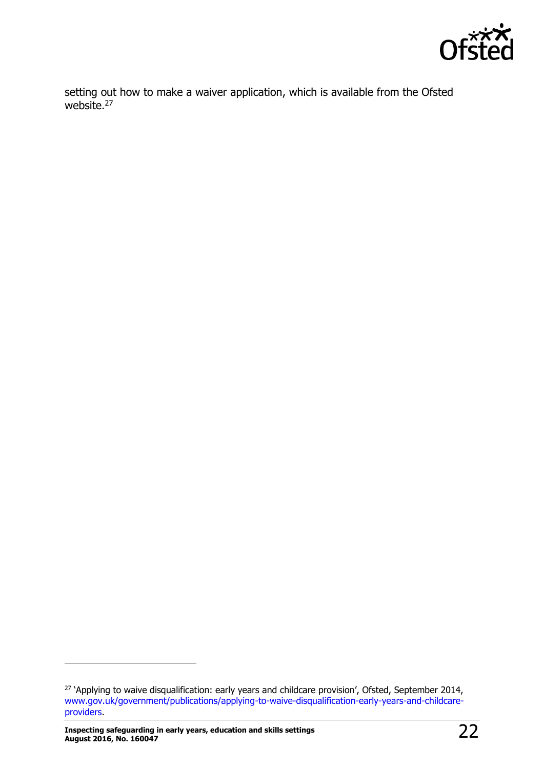

setting out how to make a waiver application, which is available from the Ofsted website.<sup>27</sup>

<sup>&</sup>lt;sup>27</sup> 'Applying to waive disqualification: early years and childcare provision', Ofsted, September 2014, [www.gov.uk/government/publications/applying-to-waive-disqualification-early-years-and-childcare](http://www.gov.uk/government/publications/applying-to-waive-disqualification-early-years-and-childcare-providers)[providers.](http://www.gov.uk/government/publications/applying-to-waive-disqualification-early-years-and-childcare-providers)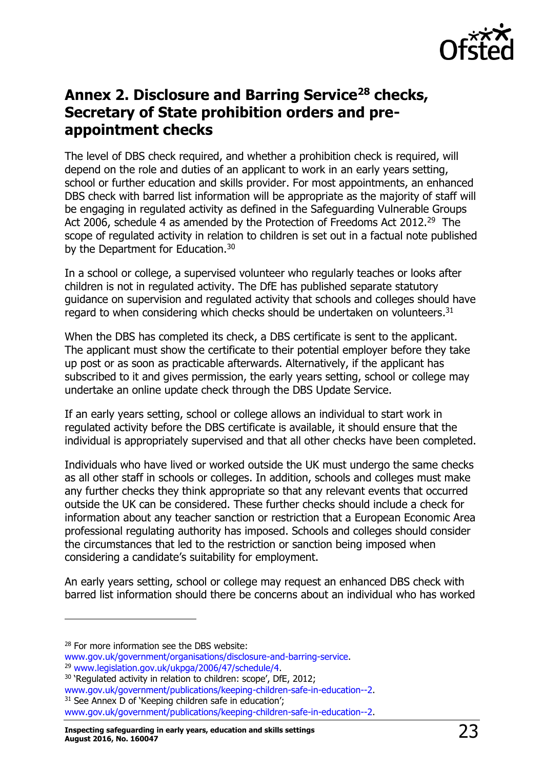

# <span id="page-22-0"></span>**Annex 2. Disclosure and Barring Service<sup>28</sup> checks, Secretary of State prohibition orders and preappointment checks**

The level of DBS check required, and whether a prohibition check is required, will depend on the role and duties of an applicant to work in an early years setting, school or further education and skills provider. For most appointments, an enhanced DBS check with barred list information will be appropriate as the majority of staff will be engaging in regulated activity as defined in the Safeguarding Vulnerable Groups Act 2006, schedule 4 as amended by the Protection of Freedoms Act 2012.<sup>29</sup> The scope of regulated activity in relation to children is set out in a factual note published by the Department for Education.<sup>30</sup>

In a school or college, a supervised volunteer who regularly teaches or looks after children is not in regulated activity. The DfE has published separate statutory guidance on supervision and regulated activity that schools and colleges should have regard to when considering which checks should be undertaken on volunteers.<sup>31</sup>

When the DBS has completed its check, a DBS certificate is sent to the applicant. The applicant must show the certificate to their potential employer before they take up post or as soon as practicable afterwards. Alternatively, if the applicant has subscribed to it and gives permission, the early years setting, school or college may undertake an online update check through the DBS Update Service.

If an early years setting, school or college allows an individual to start work in regulated activity before the DBS certificate is available, it should ensure that the individual is appropriately supervised and that all other checks have been completed.

Individuals who have lived or worked outside the UK must undergo the same checks as all other staff in schools or colleges. In addition, schools and colleges must make any further checks they think appropriate so that any relevant events that occurred outside the UK can be considered. These further checks should include a check for information about any teacher sanction or restriction that a European Economic Area professional regulating authority has imposed. Schools and colleges should consider the circumstances that led to the restriction or sanction being imposed when considering a candidate's suitability for employment.

An early years setting, school or college may request an enhanced DBS check with barred list information should there be concerns about an individual who has worked

j

<sup>&</sup>lt;sup>28</sup> For more information see the DBS website:

[www.gov.uk/government/organisations/disclosure-and-barring-service.](http://www.gov.uk/government/organisations/disclosure-and-barring-service) <sup>29</sup> [www.legislation.gov.uk/ukpga/2006/47/schedule/4.](http://www.legislation.gov.uk/ukpga/2006/47/schedule/4)

<sup>&</sup>lt;sup>30</sup> 'Regulated activity in relation to children: scope', DfE, 2012;

[www.gov.uk/government/publications/keeping-children-safe-in-education--2.](http://www.gov.uk/government/publications/keeping-children-safe-in-education--2) <sup>31</sup> See Annex D of 'Keeping children safe in education'; [www.gov.uk/government/publications/keeping-children-safe-in-education--2.](http://www.gov.uk/government/publications/keeping-children-safe-in-education--2)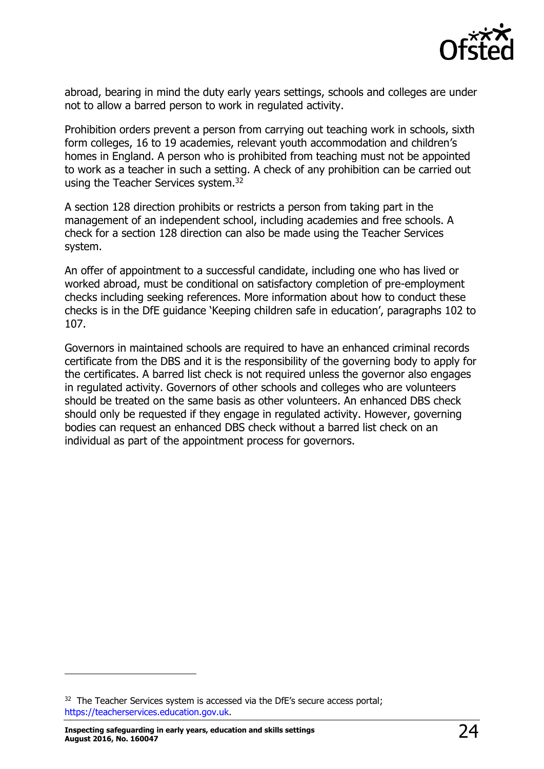

abroad, bearing in mind the duty early years settings, schools and colleges are under not to allow a barred person to work in regulated activity.

Prohibition orders prevent a person from carrying out teaching work in schools, sixth form colleges, 16 to 19 academies, relevant youth accommodation and children's homes in England. A person who is prohibited from teaching must not be appointed to work as a teacher in such a setting. A check of any prohibition can be carried out using the Teacher Services system.<sup>32</sup>

A section 128 direction prohibits or restricts a person from taking part in the management of an independent school, including academies and free schools. A check for a section 128 direction can also be made using the Teacher Services system.

An offer of appointment to a successful candidate, including one who has lived or worked abroad, must be conditional on satisfactory completion of pre-employment checks including seeking references. More information about how to conduct these checks is in the DfE guidance 'Keeping children safe in education', paragraphs 102 to 107.

Governors in maintained schools are required to have an enhanced criminal records certificate from the DBS and it is the responsibility of the governing body to apply for the certificates. A barred list check is not required unless the governor also engages in regulated activity. Governors of other schools and colleges who are volunteers should be treated on the same basis as other volunteers. An enhanced DBS check should only be requested if they engage in regulated activity. However, governing bodies can request an enhanced DBS check without a barred list check on an individual as part of the appointment process for governors.

j

 $32$  The Teacher Services system is accessed via the DfE's secure access portal; [https://teacherservices.education.gov.uk.](https://teacherservices.education.gov.uk/)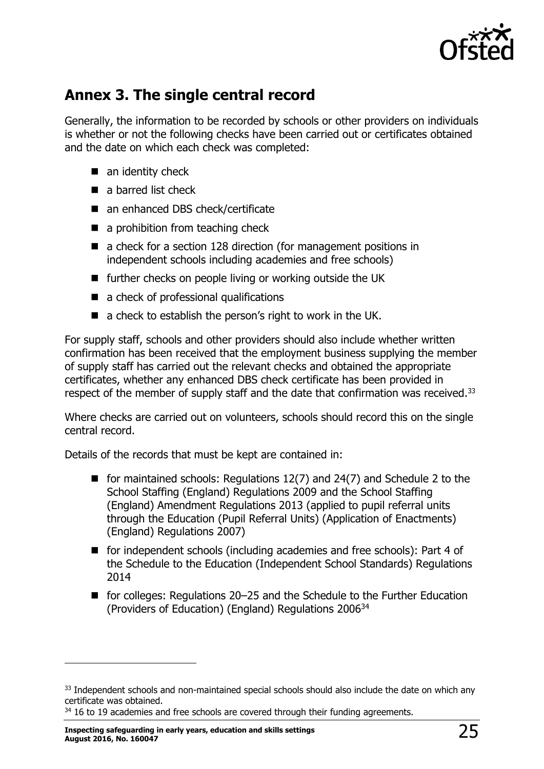

# **Annex 3. The single central record**

Generally, the information to be recorded by schools or other providers on individuals is whether or not the following checks have been carried out or certificates obtained and the date on which each check was completed:

- $\blacksquare$  an identity check
- a barred list check
- an enhanced DBS check/certificate
- a prohibition from teaching check
- a check for a section 128 direction (for management positions in independent schools including academies and free schools)
- **Further checks on people living or working outside the UK**
- a check of professional qualifications
- a check to establish the person's right to work in the UK.

For supply staff, schools and other providers should also include whether written confirmation has been received that the employment business supplying the member of supply staff has carried out the relevant checks and obtained the appropriate certificates, whether any enhanced DBS check certificate has been provided in respect of the member of supply staff and the date that confirmation was received.<sup>33</sup>

Where checks are carried out on volunteers, schools should record this on the single central record.

Details of the records that must be kept are contained in:

- for maintained schools: Regulations  $12(7)$  and  $24(7)$  and Schedule 2 to the School Staffing (England) Regulations 2009 and the School Staffing (England) Amendment Regulations 2013 (applied to pupil referral units through the Education (Pupil Referral Units) (Application of Enactments) (England) Regulations 2007)
- for independent schools (including academies and free schools): Part 4 of the Schedule to the Education (Independent School Standards) Regulations 2014
- for colleges: Regulations 20–25 and the Schedule to the Further Education (Providers of Education) (England) Regulations 2006<sup>34</sup>

<sup>&</sup>lt;sup>33</sup> Independent schools and non-maintained special schools should also include the date on which any certificate was obtained.

 $34$  16 to 19 academies and free schools are covered through their funding agreements.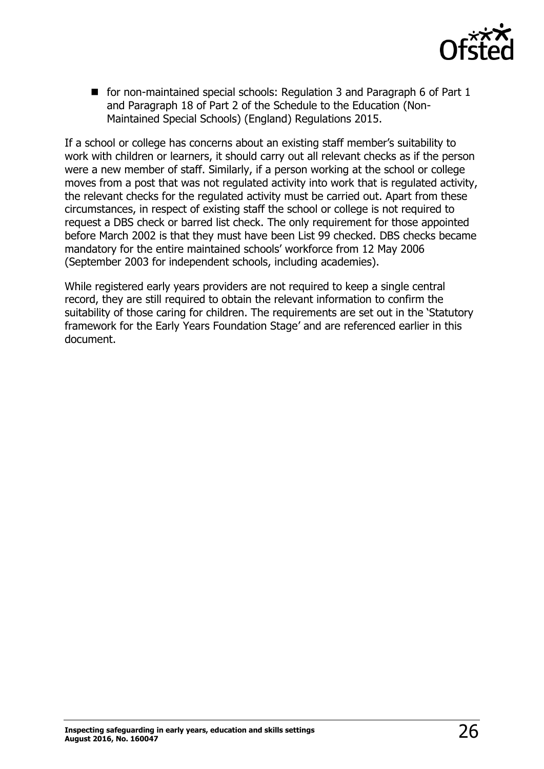

■ for non-maintained special schools: Regulation 3 and Paragraph 6 of Part 1 and Paragraph 18 of Part 2 of the Schedule to the Education (Non-Maintained Special Schools) (England) Regulations 2015.

If a school or college has concerns about an existing staff member's suitability to work with children or learners, it should carry out all relevant checks as if the person were a new member of staff. Similarly, if a person working at the school or college moves from a post that was not regulated activity into work that is regulated activity, the relevant checks for the regulated activity must be carried out. Apart from these circumstances, in respect of existing staff the school or college is not required to request a DBS check or barred list check. The only requirement for those appointed before March 2002 is that they must have been List 99 checked. DBS checks became mandatory for the entire maintained schools' workforce from 12 May 2006 (September 2003 for independent schools, including academies).

While registered early years providers are not required to keep a single central record, they are still required to obtain the relevant information to confirm the suitability of those caring for children. The requirements are set out in the 'Statutory framework for the Early Years Foundation Stage' and are referenced earlier in this document.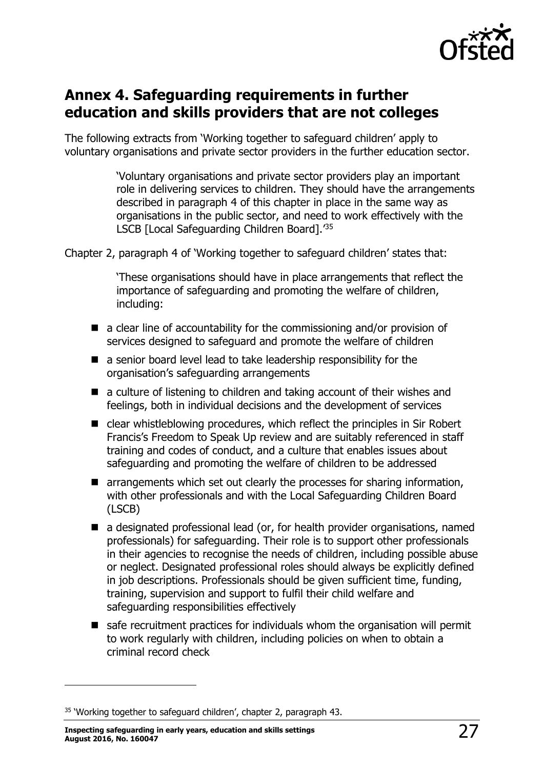

# <span id="page-26-0"></span>**Annex 4. Safeguarding requirements in further education and skills providers that are not colleges**

The following extracts from 'Working together to safeguard children' apply to voluntary organisations and private sector providers in the further education sector.

> 'Voluntary organisations and private sector providers play an important role in delivering services to children. They should have the arrangements described in paragraph 4 of this chapter in place in the same way as organisations in the public sector, and need to work effectively with the LSCB [Local Safeguarding Children Board].' 35

Chapter 2, paragraph 4 of 'Working together to safeguard children' states that:

'These organisations should have in place arrangements that reflect the importance of safeguarding and promoting the welfare of children, including:

- $\blacksquare$  a clear line of accountability for the commissioning and/or provision of services designed to safeguard and promote the welfare of children
- a senior board level lead to take leadership responsibility for the organisation's safeguarding arrangements
- a culture of listening to children and taking account of their wishes and feelings, both in individual decisions and the development of services
- clear whistleblowing procedures, which reflect the principles in Sir Robert Francis's Freedom to Speak Up review and are suitably referenced in staff training and codes of conduct, and a culture that enables issues about safeguarding and promoting the welfare of children to be addressed
- **E** arrangements which set out clearly the processes for sharing information, with other professionals and with the Local Safeguarding Children Board (LSCB)
- a designated professional lead (or, for health provider organisations, named professionals) for safeguarding. Their role is to support other professionals in their agencies to recognise the needs of children, including possible abuse or neglect. Designated professional roles should always be explicitly defined in job descriptions. Professionals should be given sufficient time, funding, training, supervision and support to fulfil their child welfare and safeguarding responsibilities effectively
- safe recruitment practices for individuals whom the organisation will permit to work regularly with children, including policies on when to obtain a criminal record check

j

<sup>&</sup>lt;sup>35</sup> 'Working together to safeguard children', chapter 2, paragraph 43.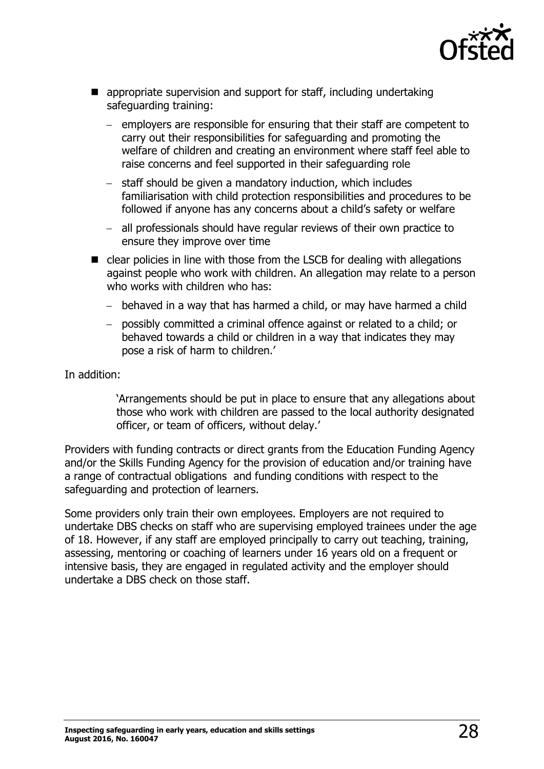

- **E** appropriate supervision and support for staff, including undertaking safeguarding training:
	- $-$  employers are responsible for ensuring that their staff are competent to carry out their responsibilities for safeguarding and promoting the welfare of children and creating an environment where staff feel able to raise concerns and feel supported in their safeguarding role
	- staff should be given a mandatory induction, which includes familiarisation with child protection responsibilities and procedures to be followed if anyone has any concerns about a child's safety or welfare
	- all professionals should have regular reviews of their own practice to ensure they improve over time
- clear policies in line with those from the LSCB for dealing with allegations against people who work with children. An allegation may relate to a person who works with children who has:
	- behaved in a way that has harmed a child, or may have harmed a child
	- possibly committed a criminal offence against or related to a child; or behaved towards a child or children in a way that indicates they may pose a risk of harm to children.'

In addition:

'Arrangements should be put in place to ensure that any allegations about those who work with children are passed to the local authority designated officer, or team of officers, without delay.'

Providers with funding contracts or direct grants from the Education Funding Agency and/or the Skills Funding Agency for the provision of education and/or training have a range of contractual obligations and funding conditions with respect to the safeguarding and protection of learners.

Some providers only train their own employees. Employers are not required to undertake DBS checks on staff who are supervising employed trainees under the age of 18. However, if any staff are employed principally to carry out teaching, training, assessing, mentoring or coaching of learners under 16 years old on a frequent or intensive basis, they are engaged in regulated activity and the employer should undertake a DBS check on those staff.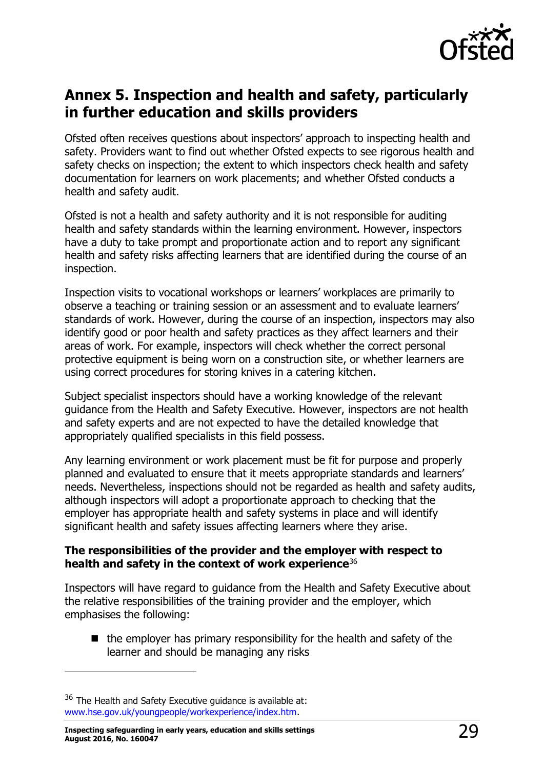

# <span id="page-28-0"></span>**Annex 5. Inspection and health and safety, particularly in further education and skills providers**

Ofsted often receives questions about inspectors' approach to inspecting health and safety. Providers want to find out whether Ofsted expects to see rigorous health and safety checks on inspection; the extent to which inspectors check health and safety documentation for learners on work placements; and whether Ofsted conducts a health and safety audit.

Ofsted is not a health and safety authority and it is not responsible for auditing health and safety standards within the learning environment. However, inspectors have a duty to take prompt and proportionate action and to report any significant health and safety risks affecting learners that are identified during the course of an inspection.

Inspection visits to vocational workshops or learners' workplaces are primarily to observe a teaching or training session or an assessment and to evaluate learners' standards of work. However, during the course of an inspection, inspectors may also identify good or poor health and safety practices as they affect learners and their areas of work. For example, inspectors will check whether the correct personal protective equipment is being worn on a construction site, or whether learners are using correct procedures for storing knives in a catering kitchen.

Subject specialist inspectors should have a working knowledge of the relevant guidance from the Health and Safety Executive. However, inspectors are not health and safety experts and are not expected to have the detailed knowledge that appropriately qualified specialists in this field possess.

Any learning environment or work placement must be fit for purpose and properly planned and evaluated to ensure that it meets appropriate standards and learners' needs. Nevertheless, inspections should not be regarded as health and safety audits, although inspectors will adopt a proportionate approach to checking that the employer has appropriate health and safety systems in place and will identify significant health and safety issues affecting learners where they arise.

#### **The responsibilities of the provider and the employer with respect to health and safety in the context of work experience**<sup>36</sup>

Inspectors will have regard to guidance from the Health and Safety Executive about the relative responsibilities of the training provider and the employer, which emphasises the following:

 $\blacksquare$  the employer has primary responsibility for the health and safety of the learner and should be managing any risks

 $\overline{a}$ 

 $36$  The Health and Safety Executive quidance is available at: [www.hse.gov.uk/youngpeople/workexperience/index.htm.](http://www.hse.gov.uk/youngpeople/workexperience/index.htm)

**Inspecting safeguarding in early years, education and skills settings August 2016, No. 160047** 29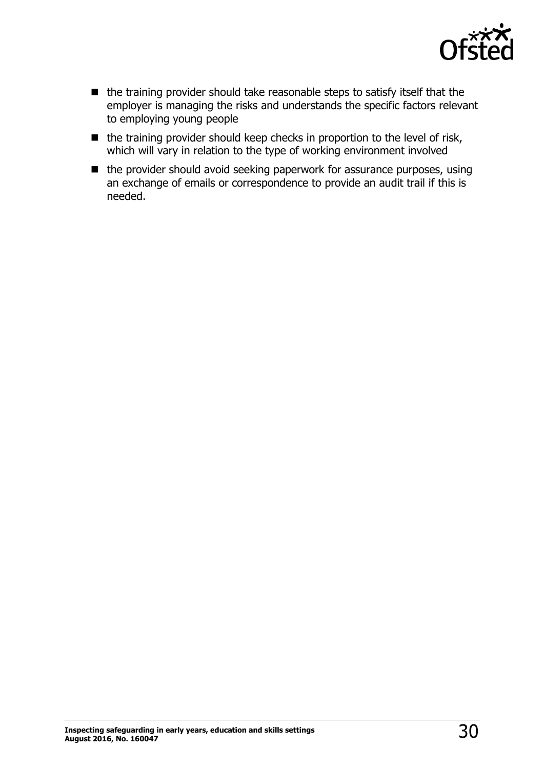

- the training provider should take reasonable steps to satisfy itself that the employer is managing the risks and understands the specific factors relevant to employing young people
- $\blacksquare$  the training provider should keep checks in proportion to the level of risk, which will vary in relation to the type of working environment involved
- the provider should avoid seeking paperwork for assurance purposes, using an exchange of emails or correspondence to provide an audit trail if this is needed.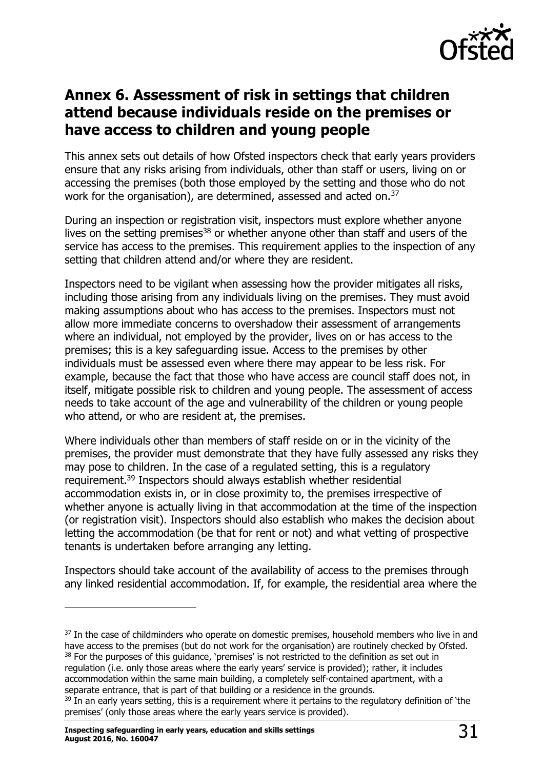

# <span id="page-30-0"></span>**Annex 6. Assessment of risk in settings that children attend because individuals reside on the premises or have access to children and young people**

This annex sets out details of how Ofsted inspectors check that early years providers ensure that any risks arising from individuals, other than staff or users, living on or accessing the premises (both those employed by the setting and those who do not work for the organisation), are determined, assessed and acted on.<sup>37</sup>

During an inspection or registration visit, inspectors must explore whether anyone lives on the setting premises<sup>38</sup> or whether anyone other than staff and users of the service has access to the premises. This requirement applies to the inspection of any setting that children attend and/or where they are resident.

Inspectors need to be vigilant when assessing how the provider mitigates all risks, including those arising from any individuals living on the premises. They must avoid making assumptions about who has access to the premises. Inspectors must not allow more immediate concerns to overshadow their assessment of arrangements where an individual, not employed by the provider, lives on or has access to the premises; this is a key safeguarding issue. Access to the premises by other individuals must be assessed even where there may appear to be less risk. For example, because the fact that those who have access are council staff does not, in itself, mitigate possible risk to children and young people. The assessment of access needs to take account of the age and vulnerability of the children or young people who attend, or who are resident at, the premises.

Where individuals other than members of staff reside on or in the vicinity of the premises, the provider must demonstrate that they have fully assessed any risks they may pose to children. In the case of a regulated setting, this is a regulatory requirement.<sup>39</sup> Inspectors should always establish whether residential accommodation exists in, or in close proximity to, the premises irrespective of whether anyone is actually living in that accommodation at the time of the inspection (or registration visit). Inspectors should also establish who makes the decision about letting the accommodation (be that for rent or not) and what vetting of prospective tenants is undertaken before arranging any letting.

Inspectors should take account of the availability of access to the premises through any linked residential accommodation. If, for example, the residential area where the

 $\overline{a}$ 

<sup>&</sup>lt;sup>37</sup> In the case of childminders who operate on domestic premises, household members who live in and have access to the premises (but do not work for the organisation) are routinely checked by Ofsted. <sup>38</sup> For the purposes of this guidance, 'premises' is not restricted to the definition as set out in regulation (i.e. only those areas where the early years' service is provided); rather, it includes accommodation within the same main building, a completely self-contained apartment, with a separate entrance, that is part of that building or a residence in the grounds. <sup>39</sup> In an early years setting, this is a requirement where it pertains to the requlatory definition of 'the

premises' (only those areas where the early years service is provided).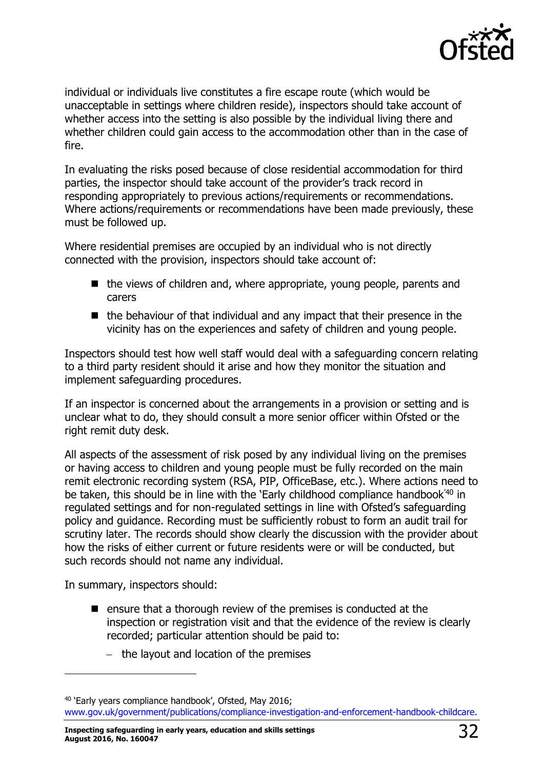

individual or individuals live constitutes a fire escape route (which would be unacceptable in settings where children reside), inspectors should take account of whether access into the setting is also possible by the individual living there and whether children could gain access to the accommodation other than in the case of fire.

In evaluating the risks posed because of close residential accommodation for third parties, the inspector should take account of the provider's track record in responding appropriately to previous actions/requirements or recommendations. Where actions/requirements or recommendations have been made previously, these must be followed up.

Where residential premises are occupied by an individual who is not directly connected with the provision, inspectors should take account of:

- $\blacksquare$  the views of children and, where appropriate, young people, parents and carers
- $\blacksquare$  the behaviour of that individual and any impact that their presence in the vicinity has on the experiences and safety of children and young people.

Inspectors should test how well staff would deal with a safeguarding concern relating to a third party resident should it arise and how they monitor the situation and implement safeguarding procedures.

If an inspector is concerned about the arrangements in a provision or setting and is unclear what to do, they should consult a more senior officer within Ofsted or the right remit duty desk.

All aspects of the assessment of risk posed by any individual living on the premises or having access to children and young people must be fully recorded on the main remit electronic recording system (RSA, PIP, OfficeBase, etc.). Where actions need to be taken, this should be in line with the 'Early childhood compliance handbook<sup>'40</sup> in regulated settings and for non-regulated settings in line with Ofsted's safeguarding policy and guidance. Recording must be sufficiently robust to form an audit trail for scrutiny later. The records should show clearly the discussion with the provider about how the risks of either current or future residents were or will be conducted, but such records should not name any individual.

In summary, inspectors should:

j

- $\blacksquare$  ensure that a thorough review of the premises is conducted at the inspection or registration visit and that the evidence of the review is clearly recorded; particular attention should be paid to:
	- $-$  the layout and location of the premises

**Inspecting safeguarding in early years, education and skills settings August 2016, No. 160047** 32

<sup>40</sup> 'Early years compliance handbook', Ofsted, May 2016; [www.gov.uk/government/publications/compliance-investigation-and-enforcement-handbook-childcare.](http://www.gov.uk/government/publications/compliance-investigation-and-enforcement-handbook-childcare)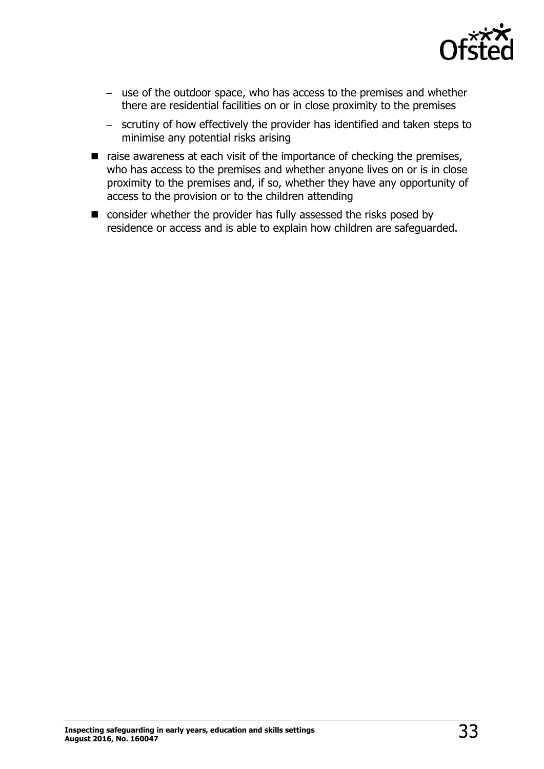

- use of the outdoor space, who has access to the premises and whether there are residential facilities on or in close proximity to the premises
- scrutiny of how effectively the provider has identified and taken steps to minimise any potential risks arising
- $\blacksquare$  raise awareness at each visit of the importance of checking the premises, who has access to the premises and whether anyone lives on or is in close proximity to the premises and, if so, whether they have any opportunity of access to the provision or to the children attending
- consider whether the provider has fully assessed the risks posed by residence or access and is able to explain how children are safeguarded.